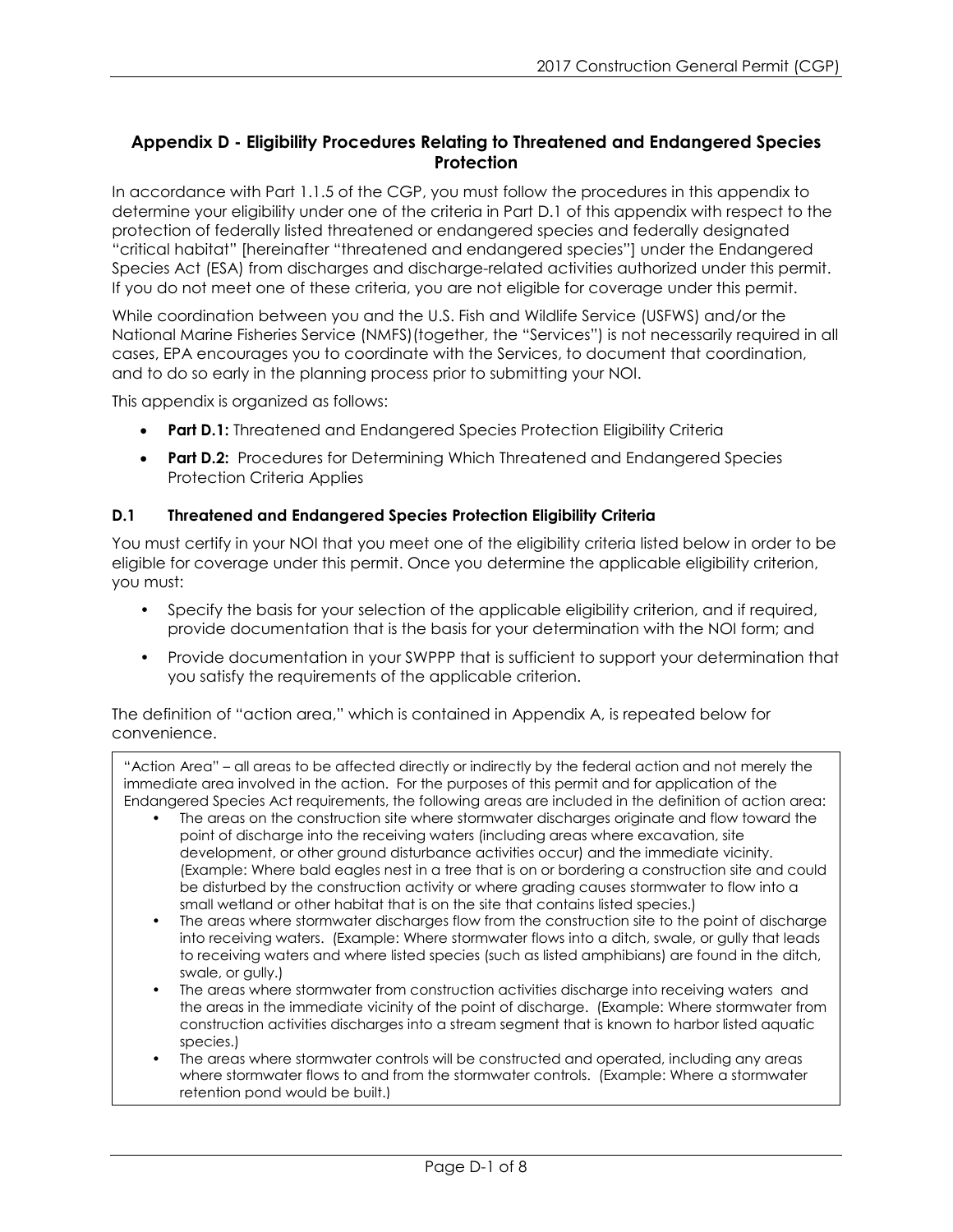## **Appendix D - Eligibility Procedures Relating to Threatened and Endangered Species Protection**

In accordance with Part 1.1.5 of the CGP, you must follow the procedures in this appendix to determine your eligibility under one of the criteria in Part D.1 of this appendix with respect to the protection of federally listed threatened or endangered species and federally designated "critical habitat" [hereinafter "threatened and endangered species"] under the Endangered Species Act (ESA) from discharges and discharge-related activities authorized under this permit. If you do not meet one of these criteria, you are not eligible for coverage under this permit.

While coordination between you and the U.S. Fish and Wildlife Service (USFWS) and/or the National Marine Fisheries Service (NMFS)(together, the "Services") is not necessarily required in all cases, EPA encourages you to coordinate with the Services, to document that coordination, and to do so early in the planning process prior to submitting your NOI.

This appendix is organized as follows:

- **Part D.1:** Threatened and Endangered Species Protection Eligibility Criteria
- **Part D.2:** Procedures for Determining Which Threatened and Endangered Species Protection Criteria Applies

## **D.1 Threatened and Endangered Species Protection Eligibility Criteria**

You must certify in your NOI that you meet one of the eligibility criteria listed below in order to be eligible for coverage under this permit. Once you determine the applicable eligibility criterion, you must:

- Specify the basis for your selection of the applicable eligibility criterion, and if required, provide documentation that is the basis for your determination with the NOI form; and
- Provide documentation in your SWPPP that is sufficient to support your determination that you satisfy the requirements of the applicable criterion.

The definition of "action area," which is contained in Appendix A, is repeated below for convenience.

"Action Area" – all areas to be affected directly or indirectly by the federal action and not merely the immediate area involved in the action. For the purposes of this permit and for application of the Endangered Species Act requirements, the following areas are included in the definition of action area:

- The areas on the construction site where stormwater discharges originate and flow toward the point of discharge into the receiving waters (including areas where excavation, site development, or other ground disturbance activities occur) and the immediate vicinity. (Example: Where bald eagles nest in a tree that is on or bordering a construction site and could be disturbed by the construction activity or where grading causes stormwater to flow into a small wetland or other habitat that is on the site that contains listed species.)
- The areas where stormwater discharges flow from the construction site to the point of discharge into receiving waters. (Example: Where stormwater flows into a ditch, swale, or gully that leads to receiving waters and where listed species (such as listed amphibians) are found in the ditch, swale, or gully.)
- The areas where stormwater from construction activities discharge into receiving waters and the areas in the immediate vicinity of the point of discharge. (Example: Where stormwater from construction activities discharges into a stream segment that is known to harbor listed aquatic species.)
- The areas where stormwater controls will be constructed and operated, including any areas where stormwater flows to and from the stormwater controls. (Example: Where a stormwater retention pond would be built.)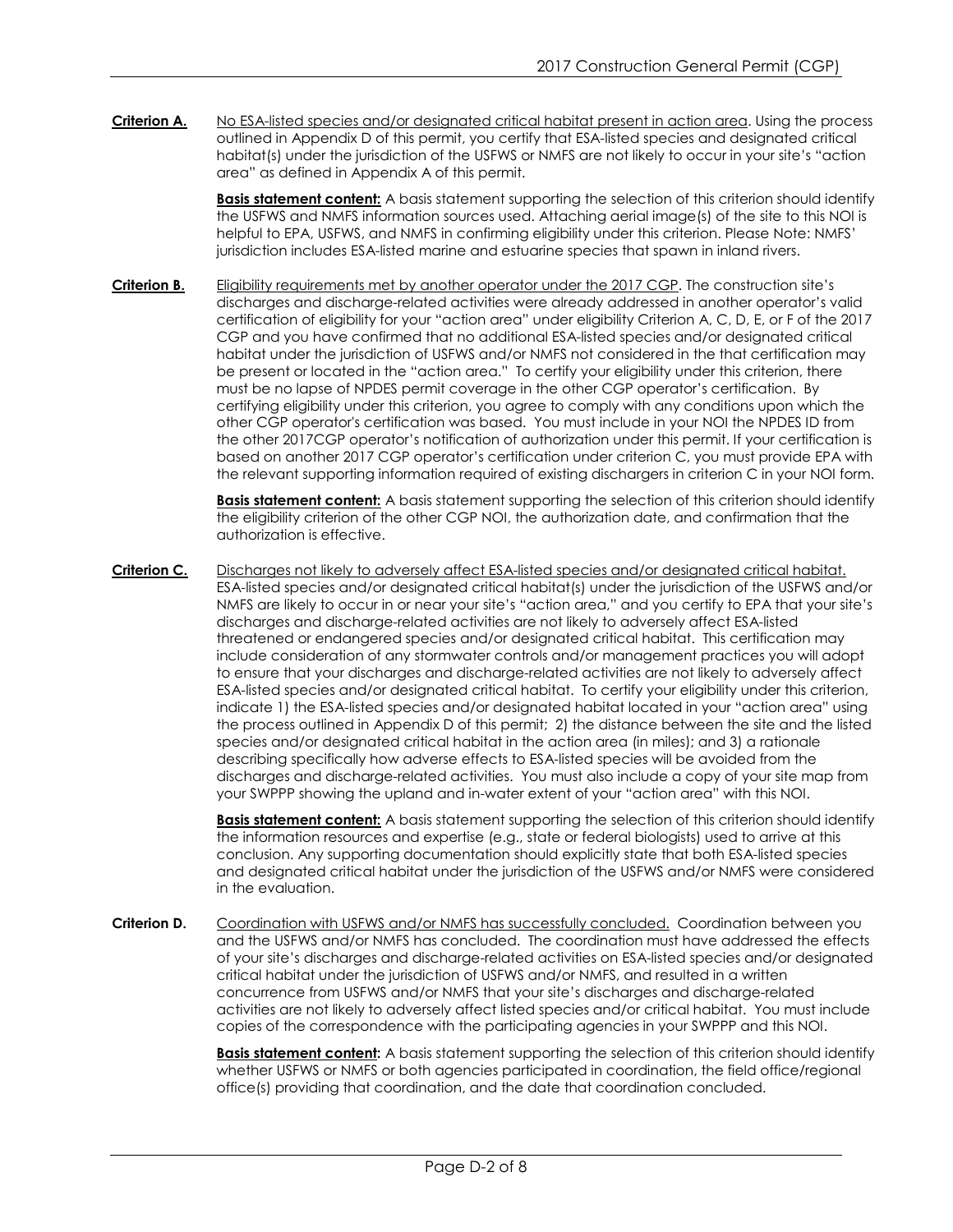Criterion A. No ESA-listed species and/or designated critical habitat present in action area. Using the process outlined in Appendix D of this permit, you certify that ESA-listed species and designated critical habitat(s) under the jurisdiction of the USFWS or NMFS are not likely to occur in your site's "action area" as defined in Appendix A of this permit.

> **Basis statement content:** A basis statement supporting the selection of this criterion should identify the USFWS and NMFS information sources used. Attaching aerial image(s) of the site to this NOI is helpful to EPA, USFWS, and NMFS in confirming eligibility under this criterion. Please Note: NMFS' jurisdiction includes ESA-listed marine and estuarine species that spawn in inland rivers.

**Criterion B.** Eligibility requirements met by another operator under the 2017 CGP. The construction site's discharges and discharge-related activities were already addressed in another operator's valid certification of eligibility for your "action area" under eligibility Criterion A, C, D, E, or F of the 2017 CGP and you have confirmed that no additional ESA-listed species and/or designated critical habitat under the jurisdiction of USFWS and/or NMFS not considered in the that certification may be present or located in the "action area." To certify your eligibility under this criterion, there must be no lapse of NPDES permit coverage in the other CGP operator's certification. By certifying eligibility under this criterion, you agree to comply with any conditions upon which the other CGP operator's certification was based. You must include in your NOI the NPDES ID from the other 2017CGP operator's notification of authorization under this permit. If your certification is based on another 2017 CGP operator's certification under criterion C, you must provide EPA with the relevant supporting information required of existing dischargers in criterion C in your NOI form.

> **Basis statement content:** A basis statement supporting the selection of this criterion should identify the eligibility criterion of the other CGP NOI, the authorization date, and confirmation that the authorization is effective.

**Criterion C.** Discharges not likely to adversely affect ESA-listed species and/or designated critical habitat. ESA-listed species and/or designated critical habitat(s) under the jurisdiction of the USFWS and/or NMFS are likely to occur in or near your site's "action area," and you certify to EPA that your site's discharges and discharge-related activities are not likely to adversely affect ESA-listed threatened or endangered species and/or designated critical habitat. This certification may include consideration of any stormwater controls and/or management practices you will adopt to ensure that your discharges and discharge-related activities are not likely to adversely affect ESA-listed species and/or designated critical habitat. To certify your eligibility under this criterion, indicate 1) the ESA-listed species and/or designated habitat located in your "action area" using the process outlined in Appendix D of this permit; 2) the distance between the site and the listed species and/or designated critical habitat in the action area (in miles); and 3) a rationale describing specifically how adverse effects to ESA-listed species will be avoided from the discharges and discharge-related activities. You must also include a copy of your site map from your SWPPP showing the upland and in-water extent of your "action area" with this NOI.

> **Basis statement content:** A basis statement supporting the selection of this criterion should identify the information resources and expertise (e.g., state or federal biologists) used to arrive at this conclusion. Any supporting documentation should explicitly state that both ESA-listed species and designated critical habitat under the jurisdiction of the USFWS and/or NMFS were considered in the evaluation.

**Criterion D.** Coordination with USFWS and/or NMFS has successfully concluded. Coordination between you and the USFWS and/or NMFS has concluded. The coordination must have addressed the effects of your site's discharges and discharge-related activities on ESA-listed species and/or designated critical habitat under the jurisdiction of USFWS and/or NMFS, and resulted in a written concurrence from USFWS and/or NMFS that your site's discharges and discharge-related activities are not likely to adversely affect listed species and/or critical habitat. You must include copies of the correspondence with the participating agencies in your SWPPP and this NOI.

> **Basis statement content:** A basis statement supporting the selection of this criterion should identify whether USFWS or NMFS or both agencies participated in coordination, the field office/regional office(s) providing that coordination, and the date that coordination concluded.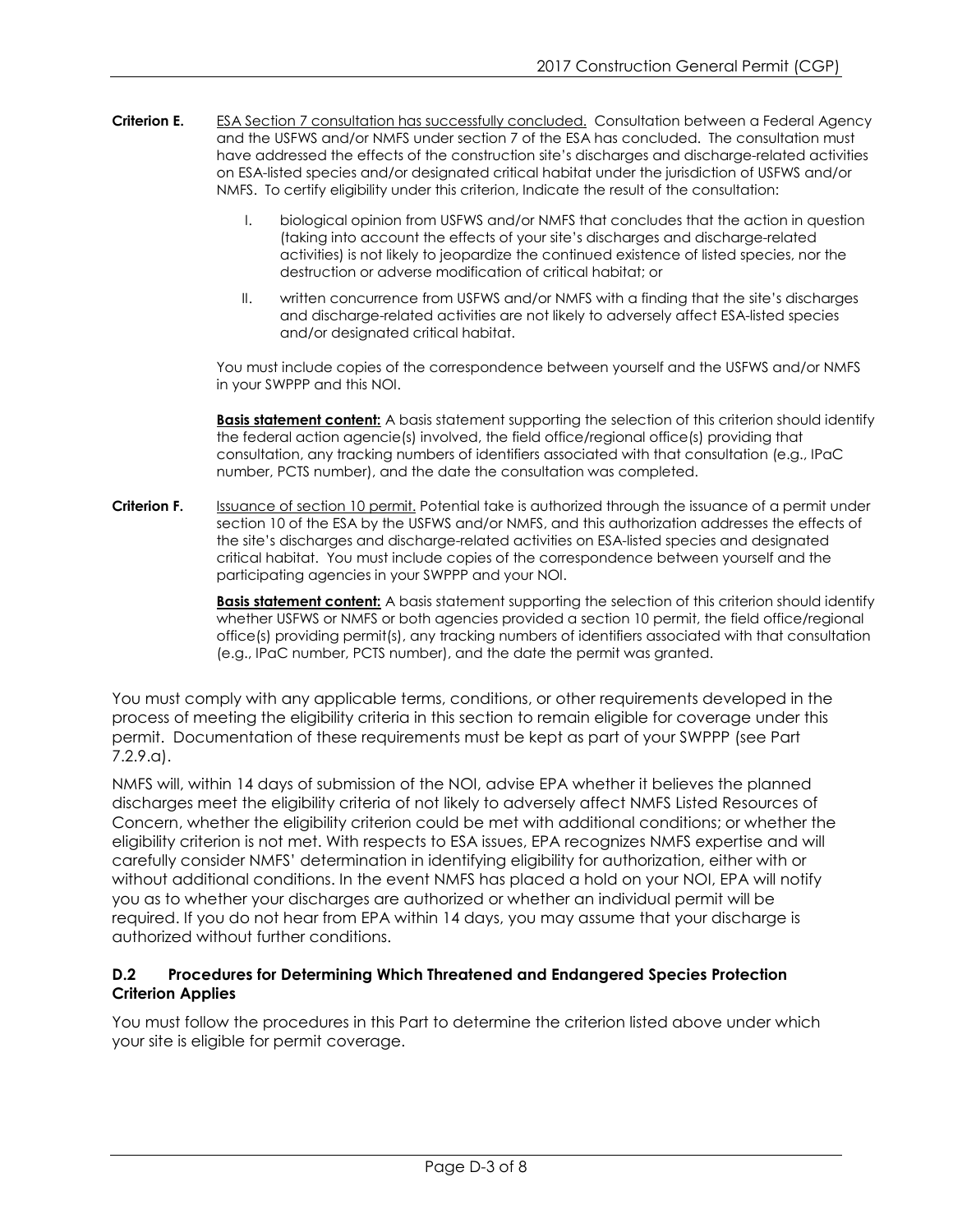- Criterion E. ESA Section 7 consultation has successfully concluded. Consultation between a Federal Agency and the USFWS and/or NMFS under section 7 of the ESA has concluded. The consultation must have addressed the effects of the construction site's discharges and discharge-related activities on ESA-listed species and/or designated critical habitat under the jurisdiction of USFWS and/or NMFS. To certify eligibility under this criterion, Indicate the result of the consultation:
	- I. biological opinion from USFWS and/or NMFS that concludes that the action in question (taking into account the effects of your site's discharges and discharge-related activities) is not likely to jeopardize the continued existence of listed species, nor the destruction or adverse modification of critical habitat; or
	- II. written concurrence from USFWS and/or NMFS with a finding that the site's discharges and discharge-related activities are not likely to adversely affect ESA-listed species and/or designated critical habitat.

You must include copies of the correspondence between yourself and the USFWS and/or NMFS in your SWPPP and this NOI.

**Basis statement content:** A basis statement supporting the selection of this criterion should identify the federal action agencie(s) involved, the field office/regional office(s) providing that consultation, any tracking numbers of identifiers associated with that consultation (e.g., IPaC number, PCTS number), and the date the consultation was completed.

Criterion F. **Issuance of section 10 permit.** Potential take is authorized through the issuance of a permit under section 10 of the ESA by the USFWS and/or NMFS, and this authorization addresses the effects of the site's discharges and discharge-related activities on ESA-listed species and designated critical habitat. You must include copies of the correspondence between yourself and the participating agencies in your SWPPP and your NOI.

> **Basis statement content:** A basis statement supporting the selection of this criterion should identify whether USFWS or NMFS or both agencies provided a section 10 permit, the field office/regional office(s) providing permit(s), any tracking numbers of identifiers associated with that consultation (e.g., IPaC number, PCTS number), and the date the permit was granted.

You must comply with any applicable terms, conditions, or other requirements developed in the process of meeting the eligibility criteria in this section to remain eligible for coverage under this permit. Documentation of these requirements must be kept as part of your SWPPP (see Part 7.2.9.a).

NMFS will, within 14 days of submission of the NOI, advise EPA whether it believes the planned discharges meet the eligibility criteria of not likely to adversely affect NMFS Listed Resources of Concern, whether the eligibility criterion could be met with additional conditions; or whether the eligibility criterion is not met. With respects to ESA issues, EPA recognizes NMFS expertise and will carefully consider NMFS' determination in identifying eligibility for authorization, either with or without additional conditions. In the event NMFS has placed a hold on your NOI, EPA will notify you as to whether your discharges are authorized or whether an individual permit will be required. If you do not hear from EPA within 14 days, you may assume that your discharge is authorized without further conditions.

## **D.2 Procedures for Determining Which Threatened and Endangered Species Protection Criterion Applies**

You must follow the procedures in this Part to determine the criterion listed above under which your site is eligible for permit coverage.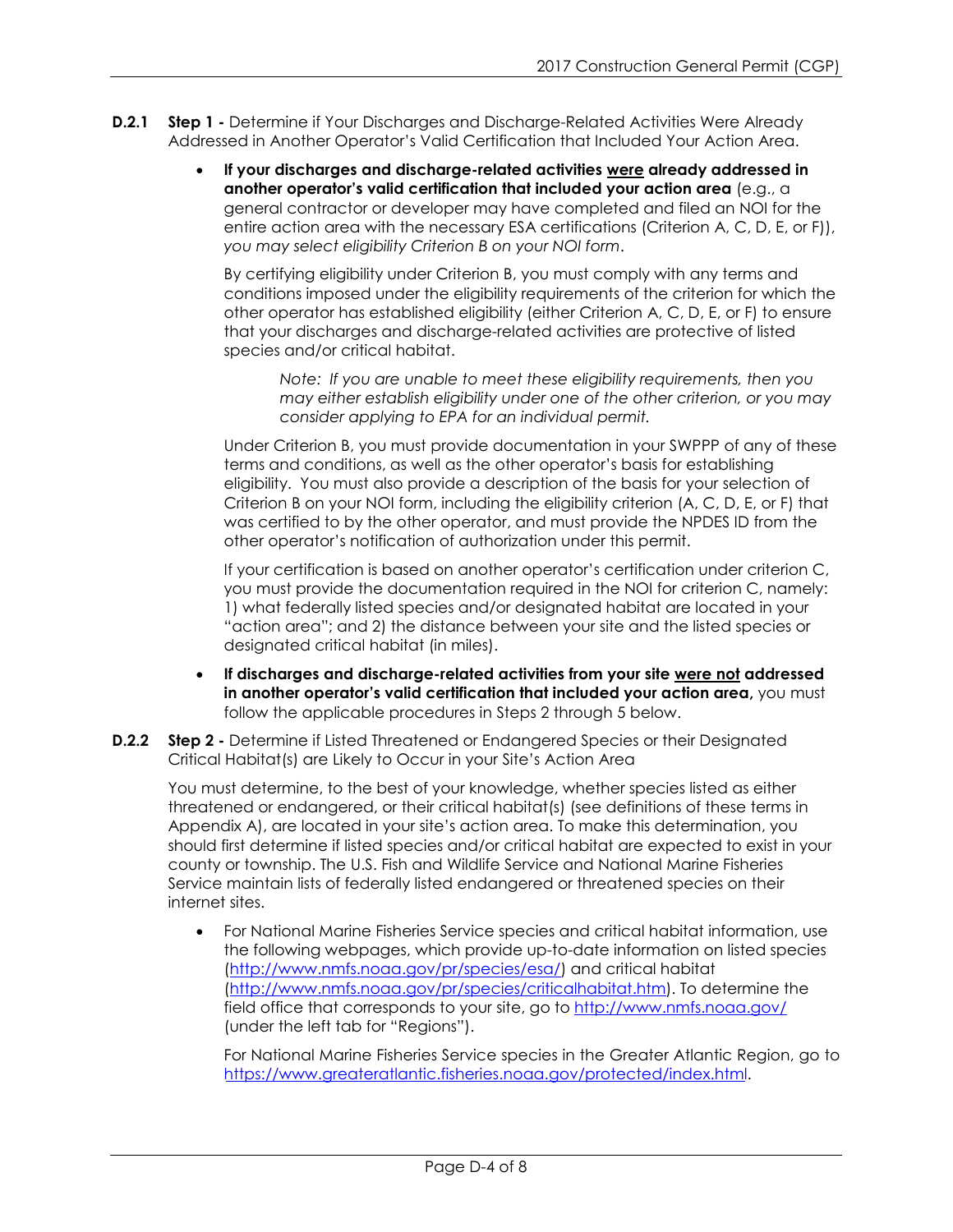- **D.2.1 Step 1 -** Determine if Your Discharges and Discharge-Related Activities Were Already Addressed in Another Operator's Valid Certification that Included Your Action Area.
	- **If your discharges and discharge-related activities were already addressed in another operator's valid certification that included your action area** (e.g., a general contractor or developer may have completed and filed an NOI for the entire action area with the necessary ESA certifications (Criterion A, C, D, E, or F)), *you may select eligibility Criterion B on your NOI form*.

By certifying eligibility under Criterion B, you must comply with any terms and conditions imposed under the eligibility requirements of the criterion for which the other operator has established eligibility (either Criterion A, C, D, E, or F) to ensure that your discharges and discharge-related activities are protective of listed species and/or critical habitat.

*Note: If you are unable to meet these eligibility requirements, then you may either establish eligibility under one of the other criterion, or you may consider applying to EPA for an individual permit.* 

Under Criterion B, you must provide documentation in your SWPPP of any of these terms and conditions, as well as the other operator's basis for establishing eligibility. You must also provide a description of the basis for your selection of Criterion B on your NOI form, including the eligibility criterion (A, C, D, E, or F) that was certified to by the other operator, and must provide the NPDES ID from the other operator's notification of authorization under this permit.

If your certification is based on another operator's certification under criterion C, you must provide the documentation required in the NOI for criterion C, namely: 1) what federally listed species and/or designated habitat are located in your "action area"; and 2) the distance between your site and the listed species or designated critical habitat (in miles).

- **If discharges and discharge-related activities from your site were not addressed in another operator's valid certification that included your action area,** you must follow the applicable procedures in Steps 2 through 5 below.
- **D.2.2 Step 2 -** Determine if Listed Threatened or Endangered Species or their Designated Critical Habitat(s) are Likely to Occur in your Site's Action Area

You must determine, to the best of your knowledge, whether species listed as either threatened or endangered, or their critical habitat(s) (see definitions of these terms in Appendix A), are located in your site's action area. To make this determination, you should first determine if listed species and/or critical habitat are expected to exist in your county or township. The U.S. Fish and Wildlife Service and National Marine Fisheries Service maintain lists of federally listed endangered or threatened species on their internet sites.

• For National Marine Fisheries Service species and critical habitat information, use the following webpages, which provide up-to-date information on listed species [\(http://www.nmfs.noaa.gov/pr/species/esa/\)](http://www.nmfs.noaa.gov/pr/species/esa/) and critical habitat [\(http://www.nmfs.noaa.gov/pr/species/criticalhabitat.htm\)](http://www.nmfs.noaa.gov/pr/species/criticalhabitat.htm). To determine the field office that corresponds to your site, go to<http://www.nmfs.noaa.gov/> (under the left tab for "Regions").

For National Marine Fisheries Service species in the Greater Atlantic Region, go to <https://www.greateratlantic.fisheries.noaa.gov/protected/index.html>.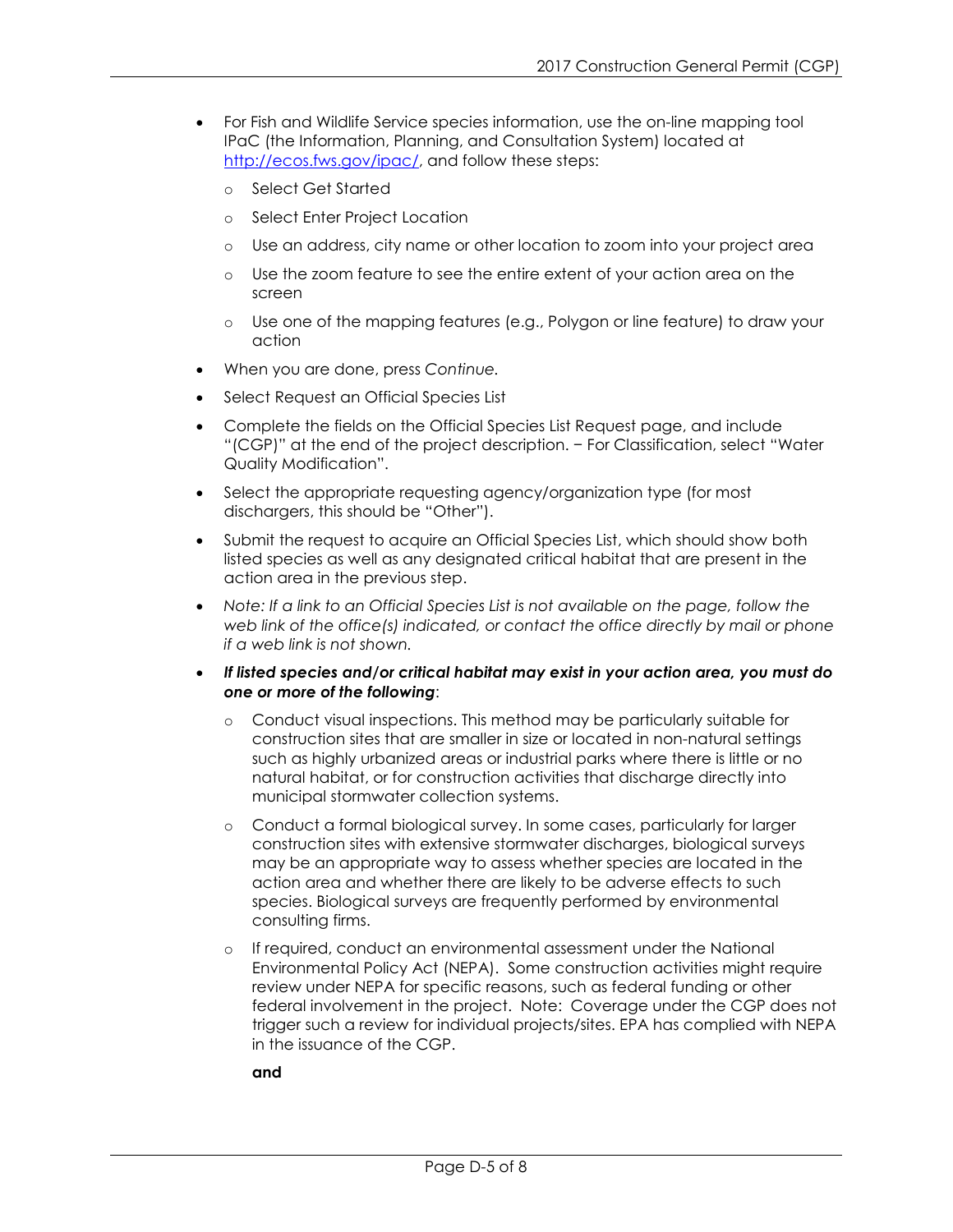- For Fish and Wildlife Service species information, use the on-line mapping tool IPaC (the Information, Planning, and Consultation System) located at [http://ecos.fws.gov/ipac/,](http://ecos.fws.gov/ipac/) and follow these steps:
	- o Select Get Started
	- o Select Enter Project Location
	- o Use an address, city name or other location to zoom into your project area
	- o Use the zoom feature to see the entire extent of your action area on the screen
	- o Use one of the mapping features (e.g., Polygon or line feature) to draw your action
- When you are done, press *Continue.*
- Select Request an Official Species List
- Complete the fields on the Official Species List Request page, and include "(CGP)" at the end of the project description. - For Classification, select "Water Quality Modification".
- Select the appropriate requesting agency/organization type (for most dischargers, this should be "Other").
- Submit the request to acquire an Official Species List, which should show both listed species as well as any designated critical habitat that are present in the action area in the previous step.
- Note: If a link to an Official Species List is not available on the page, follow the *web link of the office(s) indicated, or contact the office directly by mail or phone if a web link is not shown.*
- *If listed species and/or critical habitat may exist in your action area, you must do one or more of the following*:
	- o Conduct visual inspections. This method may be particularly suitable for construction sites that are smaller in size or located in non-natural settings such as highly urbanized areas or industrial parks where there is little or no natural habitat, or for construction activities that discharge directly into municipal stormwater collection systems.
	- o Conduct a formal biological survey. In some cases, particularly for larger construction sites with extensive stormwater discharges, biological surveys may be an appropriate way to assess whether species are located in the action area and whether there are likely to be adverse effects to such species. Biological surveys are frequently performed by environmental consulting firms.
	- o If required, conduct an environmental assessment under the National Environmental Policy Act (NEPA). Some construction activities might require review under NEPA for specific reasons, such as federal funding or other federal involvement in the project. Note: Coverage under the CGP does not trigger such a review for individual projects/sites. EPA has complied with NEPA in the issuance of the CGP.

**and**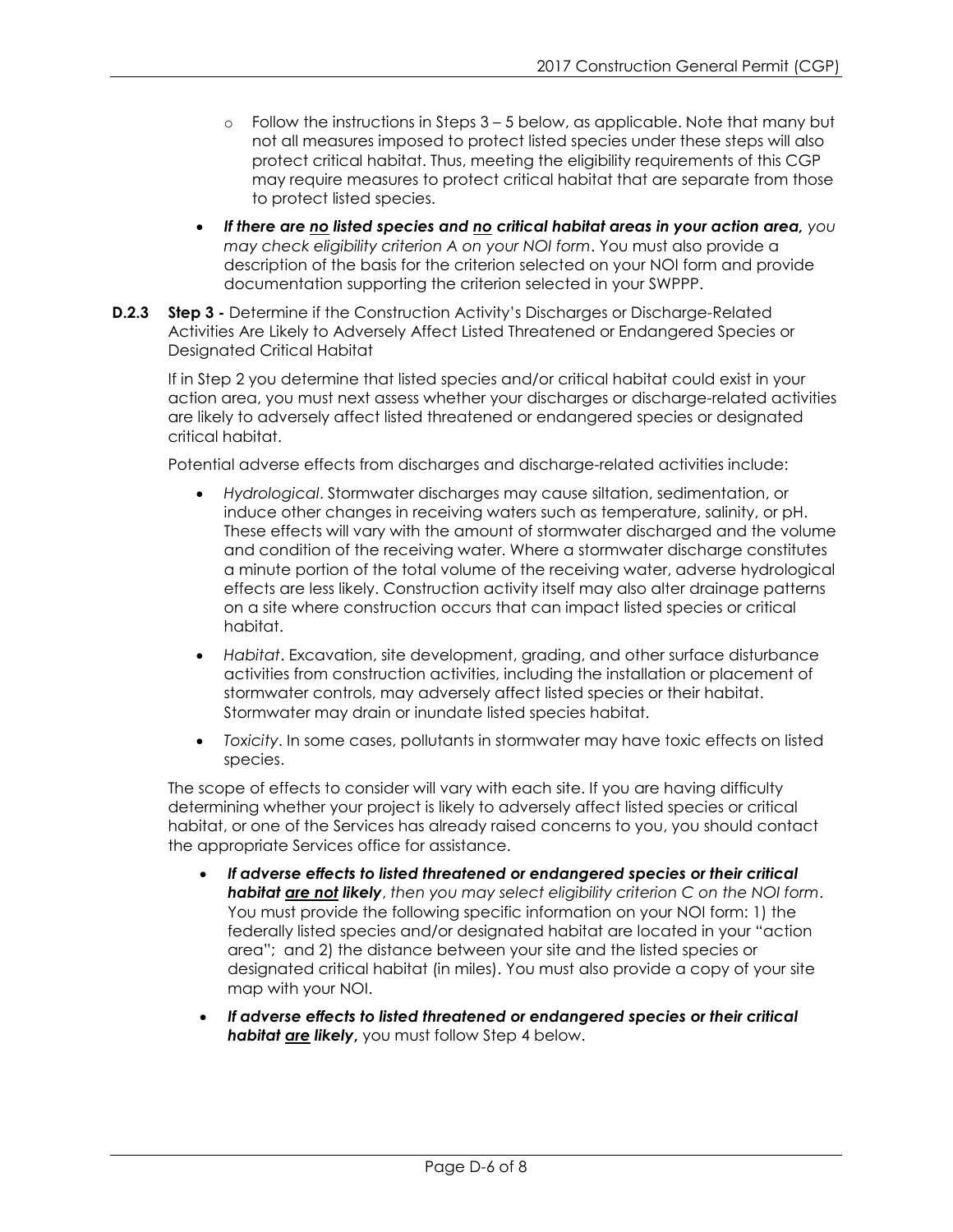- $\circ$  Follow the instructions in Steps  $3 5$  below, as applicable. Note that many but not all measures imposed to protect listed species under these steps will also protect critical habitat. Thus, meeting the eligibility requirements of this CGP may require measures to protect critical habitat that are separate from those to protect listed species.
- *If there are no listed species and no critical habitat areas in your action area, you may check eligibility criterion A on your NOI form*. You must also provide a description of the basis for the criterion selected on your NOI form and provide documentation supporting the criterion selected in your SWPPP.
- **D.2.3 Step 3** Determine if the Construction Activity's Discharges or Discharge-Related Activities Are Likely to Adversely Affect Listed Threatened or Endangered Species or Designated Critical Habitat

If in Step 2 you determine that listed species and/or critical habitat could exist in your action area, you must next assess whether your discharges or discharge-related activities are likely to adversely affect listed threatened or endangered species or designated critical habitat.

Potential adverse effects from discharges and discharge-related activities include:

- *Hydrological*. Stormwater discharges may cause siltation, sedimentation, or induce other changes in receiving waters such as temperature, salinity, or pH. These effects will vary with the amount of stormwater discharged and the volume and condition of the receiving water. Where a stormwater discharge constitutes a minute portion of the total volume of the receiving water, adverse hydrological effects are less likely. Construction activity itself may also alter drainage patterns on a site where construction occurs that can impact listed species or critical habitat.
- *Habitat*. Excavation, site development, grading, and other surface disturbance activities from construction activities, including the installation or placement of stormwater controls, may adversely affect listed species or their habitat. Stormwater may drain or inundate listed species habitat.
- *Toxicity*. In some cases, pollutants in stormwater may have toxic effects on listed species.

The scope of effects to consider will vary with each site. If you are having difficulty determining whether your project is likely to adversely affect listed species or critical habitat, or one of the Services has already raised concerns to you, you should contact the appropriate Services office for assistance.

- *If adverse effects to listed threatened or endangered species or their critical habitat are not likely*, *then you may select eligibility criterion C on the NOI form*. You must provide the following specific information on your NOI form: 1) the federally listed species and/or designated habitat are located in your "action area"; and 2) the distance between your site and the listed species or designated critical habitat (in miles). You must also provide a copy of your site map with your NOI.
- *If adverse effects to listed threatened or endangered species or their critical habitat are likely***,** you must follow Step 4 below.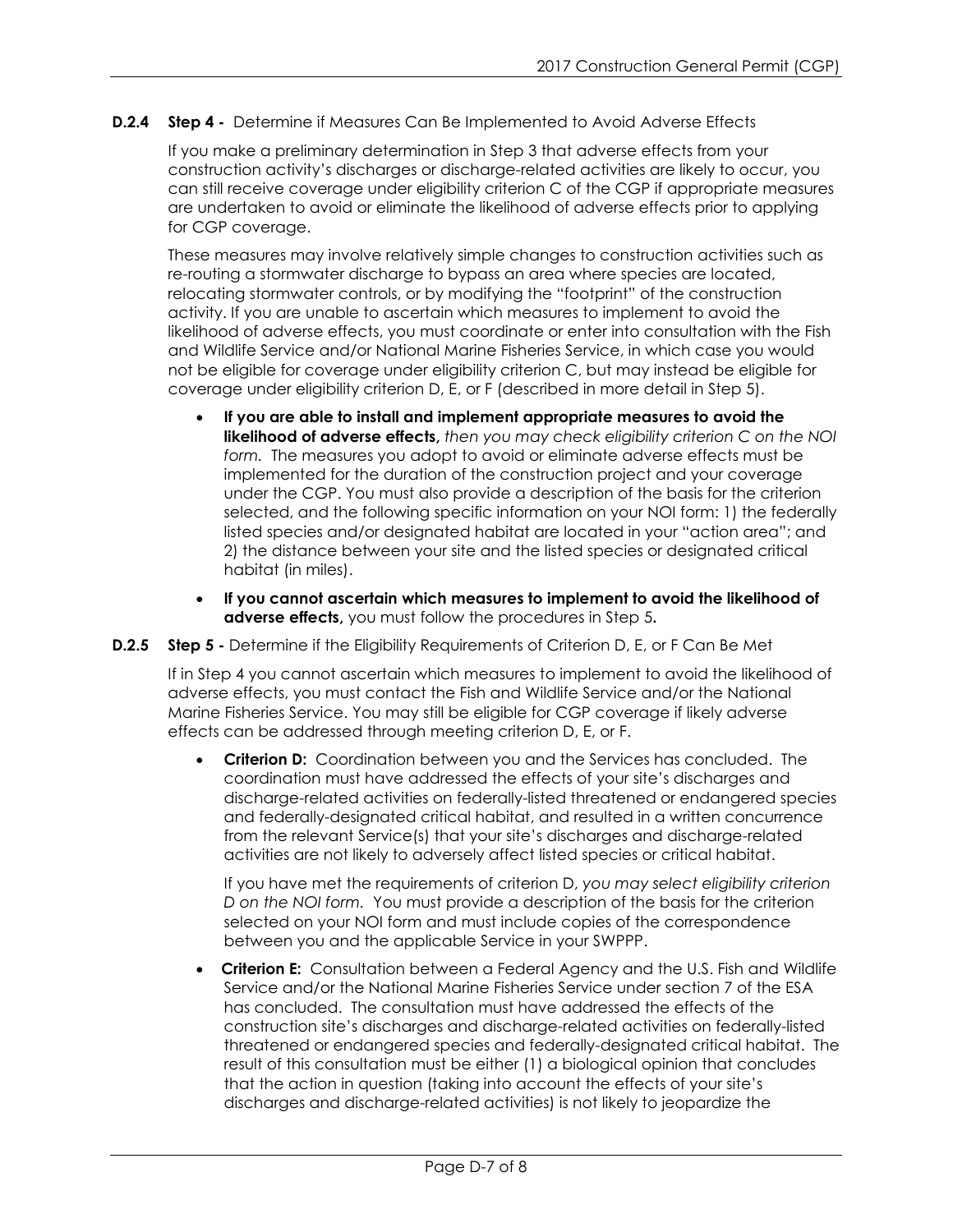**D.2.4 Step 4 -** Determine if Measures Can Be Implemented to Avoid Adverse Effects

If you make a preliminary determination in Step 3 that adverse effects from your construction activity's discharges or discharge-related activities are likely to occur, you can still receive coverage under eligibility criterion C of the CGP if appropriate measures are undertaken to avoid or eliminate the likelihood of adverse effects prior to applying for CGP coverage.

These measures may involve relatively simple changes to construction activities such as re-routing a stormwater discharge to bypass an area where species are located, relocating stormwater controls, or by modifying the "footprint" of the construction activity. If you are unable to ascertain which measures to implement to avoid the likelihood of adverse effects, you must coordinate or enter into consultation with the Fish and Wildlife Service and/or National Marine Fisheries Service, in which case you would not be eligible for coverage under eligibility criterion C, but may instead be eligible for coverage under eligibility criterion D, E, or F (described in more detail in Step 5).

- **If you are able to install and implement appropriate measures to avoid the likelihood of adverse effects,** *then you may check eligibility criterion C on the NOI form.* The measures you adopt to avoid or eliminate adverse effects must be implemented for the duration of the construction project and your coverage under the CGP. You must also provide a description of the basis for the criterion selected, and the following specific information on your NOI form: 1) the federally listed species and/or designated habitat are located in your "action area"; and 2) the distance between your site and the listed species or designated critical habitat (in miles).
- **If you cannot ascertain which measures to implement to avoid the likelihood of adverse effects,** you must follow the procedures in Step 5**.**
- **D.2.5 Step 5** Determine if the Eligibility Requirements of Criterion D, E, or F Can Be Met

If in Step 4 you cannot ascertain which measures to implement to avoid the likelihood of adverse effects, you must contact the Fish and Wildlife Service and/or the National Marine Fisheries Service. You may still be eligible for CGP coverage if likely adverse effects can be addressed through meeting criterion D, E, or F.

• **Criterion D:** Coordination between you and the Services has concluded. The coordination must have addressed the effects of your site's discharges and discharge-related activities on federally-listed threatened or endangered species and federally-designated critical habitat, and resulted in a written concurrence from the relevant Service(s) that your site's discharges and discharge-related activities are not likely to adversely affect listed species or critical habitat.

If you have met the requirements of criterion D, *you may select eligibility criterion D on the NOI form.* You must provide a description of the basis for the criterion selected on your NOI form and must include copies of the correspondence between you and the applicable Service in your SWPPP.

• **Criterion E:** Consultation between a Federal Agency and the U.S. Fish and Wildlife Service and/or the National Marine Fisheries Service under section 7 of the ESA has concluded. The consultation must have addressed the effects of the construction site's discharges and discharge-related activities on federally-listed threatened or endangered species and federally-designated critical habitat. The result of this consultation must be either (1) a biological opinion that concludes that the action in question (taking into account the effects of your site's discharges and discharge-related activities) is not likely to jeopardize the